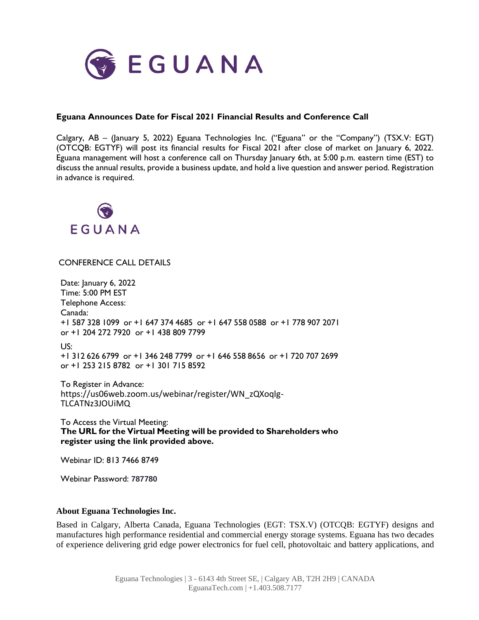

## **Eguana Announces Date for Fiscal 2021 Financial Results and Conference Call**

Calgary, AB – (January 5, 2022) Eguana Technologies Inc. ("Eguana" or the "Company") (TSX.V: EGT) (OTCQB: EGTYF) will post its financial results for Fiscal 2021 after close of market on January 6, 2022. Eguana management will host a conference call on Thursday January 6th, at 5:00 p.m. eastern time (EST) to discuss the annual results, provide a business update, and hold a live question and answer period. Registration in advance is required.



## CONFERENCE CALL DETAILS

Date: January 6, 2022 Time: 5:00 PM EST Telephone Access: Canada: +1 587 328 1099 or +1 647 374 4685 or +1 647 558 0588 or +1 778 907 2071 or +1 204 272 7920 or +1 438 809 7799 US: +1 312 626 6799 or +1 346 248 7799 or +1 646 558 8656 or +1 720 707 2699 or +1 253 215 8782 or +1 301 715 8592

To Register in Advance: https://us06web.zoom.us/webinar/register/WN\_zQXoqlg-TLCATNz3JOUiMQ

To Access the Virtual Meeting: **The URL for the Virtual Meeting will be provided to Shareholders who register using the link provided above.**

Webinar ID: 813 7466 8749

Webinar Password: **787780**

## **About Eguana Technologies Inc.**

Based in Calgary, Alberta Canada, Eguana Technologies (EGT: TSX.V) (OTCQB: EGTYF) designs and manufactures high performance residential and commercial energy storage systems. Eguana has two decades of experience delivering grid edge power electronics for fuel cell, photovoltaic and battery applications, and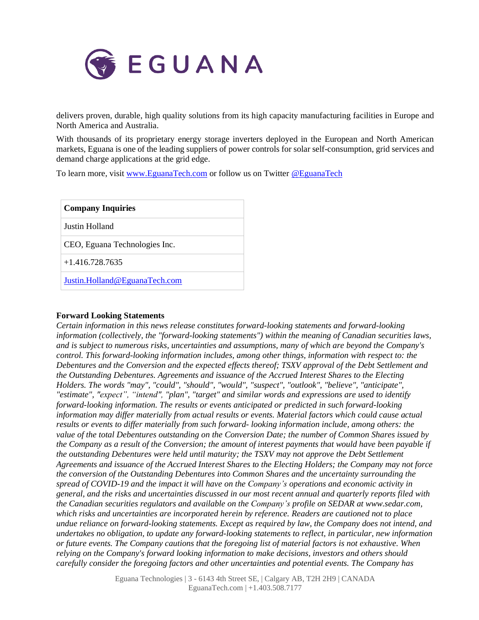

delivers proven, durable, high quality solutions from its high capacity manufacturing facilities in Europe and North America and Australia.

With thousands of its proprietary energy storage inverters deployed in the European and North American markets, Eguana is one of the leading suppliers of power controls for solar self-consumption, grid services and demand charge applications at the grid edge.

To learn more, visit [www.EguanaTech.com](http://www.eguanatech.com/) or follow us on Twitter [@EguanaTech](https://twitter.com/EguanaTech)

| <b>Company Inquiries</b>      |
|-------------------------------|
| Justin Holland                |
| CEO, Eguana Technologies Inc. |
| $+1.416.728.7635$             |
| Justin.Holland@EguanaTech.com |

## **Forward Looking Statements**

*Certain information in this news release constitutes forward-looking statements and forward-looking information (collectively, the "forward-looking statements") within the meaning of Canadian securities laws, and is subject to numerous risks, uncertainties and assumptions, many of which are beyond the Company's control. This forward-looking information includes, among other things, information with respect to: the Debentures and the Conversion and the expected effects thereof; TSXV approval of the Debt Settlement and the Outstanding Debentures. Agreements and issuance of the Accrued Interest Shares to the Electing Holders. The words "may", "could", "should", "would", "suspect", "outlook", "believe", "anticipate", "estimate", "expect", "intend", "plan", "target" and similar words and expressions are used to identify forward-looking information. The results or events anticipated or predicted in such forward-looking information may differ materially from actual results or events. Material factors which could cause actual results or events to differ materially from such forward- looking information include, among others: the value of the total Debentures outstanding on the Conversion Date; the number of Common Shares issued by* the Company as a result of the Conversion; the amount of interest payments that would have been payable if *the outstanding Debentures were held until maturity; the TSXV may not approve the Debt Settlement Agreements and issuance of the Accrued Interest Shares to the Electing Holders; the Company may not force the conversion of the Outstanding Debentures into Common Shares and the uncertainty surrounding the spread of COVID-19 and the impact it will have on the Company's operations and economic activity in* general, and the risks and uncertainties discussed in our most recent annual and quarterly reports filed with *the Canadian securities regulators and available on the Company's profile on SEDAR at www.sedar.com, which risks and uncertainties are incorporated herein by reference. Readers are cautioned not to place undue reliance on forward-looking statements. Except as required by law, the Company does not intend, and undertakes no obligation, to update any forward-looking statements to reflect, in particular, new information* or future events. The Company cautions that the foregoing list of material factors is not exhaustive. When *relying on the Company's forward looking information to make decisions, investors and others should carefully consider the foregoing factors and other uncertainties and potential events. The Company has*